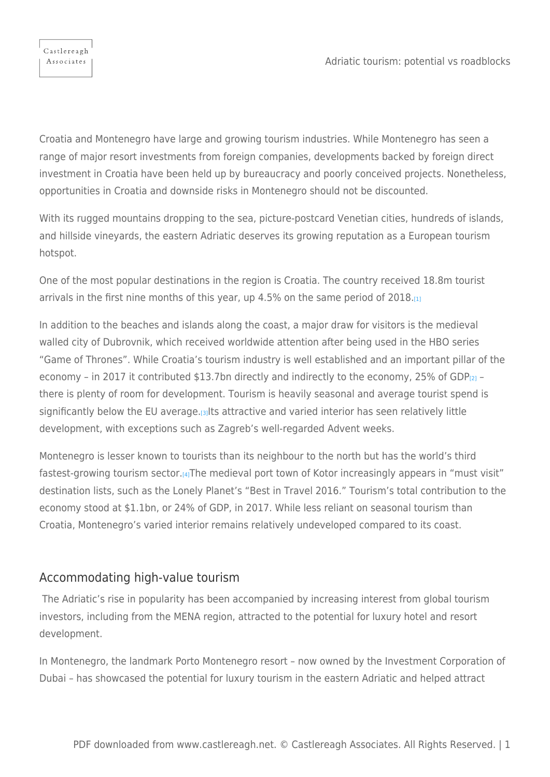

Croatia and Montenegro have large and growing tourism industries. While Montenegro has seen a range of major resort investments from foreign companies, developments backed by foreign direct investment in Croatia have been held up by bureaucracy and poorly conceived projects. Nonetheless, opportunities in Croatia and downside risks in Montenegro should not be discounted.

With its rugged mountains dropping to the sea, picture-postcard Venetian cities, hundreds of islands, and hillside vineyards, the eastern Adriatic deserves its growing reputation as a European tourism hotspot.

<span id="page-0-0"></span>One of the most popular destinations in the region is Croatia. The country received 18.8m tourist arrivals in the first nine months of this year, up  $4.5\%$  on the same period of  $2018_{.[1]}$  $2018_{.[1]}$  $2018_{.[1]}$ 

<span id="page-0-1"></span>In addition to the beaches and islands along the coast, a major draw for visitors is the medieval walled city of Dubrovnik, which received worldwide attention after being used in the HBO series "Game of Thrones". While Croatia's tourism industry is well established and an important pillar of the economy - in 2017 it contributed \$13.7bn directly and indirectly to the economy, 25% of GDP $_{[2]}$  $_{[2]}$  $_{[2]}$  there is plenty of room for development. Tourism is heavily seasonal and average tourist spend is significantly below the EU average.[\[3\]](#page-4-2)Its attractive and varied interior has seen relatively little development, with exceptions such as Zagreb's well-regarded Advent weeks.

<span id="page-0-3"></span><span id="page-0-2"></span>Montenegro is lesser known to tourists than its neighbour to the north but has the world's third fastest-growing tourism sector.[\[4\]](#page-4-3)The medieval port town of Kotor increasingly appears in "must visit" destination lists, such as the Lonely Planet's "Best in Travel 2016." Tourism's total contribution to the economy stood at \$1.1bn, or 24% of GDP, in 2017. While less reliant on seasonal tourism than Croatia, Montenegro's varied interior remains relatively undeveloped compared to its coast.

## Accommodating high-value tourism

The Adriatic's rise in popularity has been accompanied by increasing interest from global tourism investors, including from the MENA region, attracted to the potential for luxury hotel and resort development.

In Montenegro, the landmark Porto Montenegro resort – now owned by the Investment Corporation of Dubai – has showcased the potential for luxury tourism in the eastern Adriatic and helped attract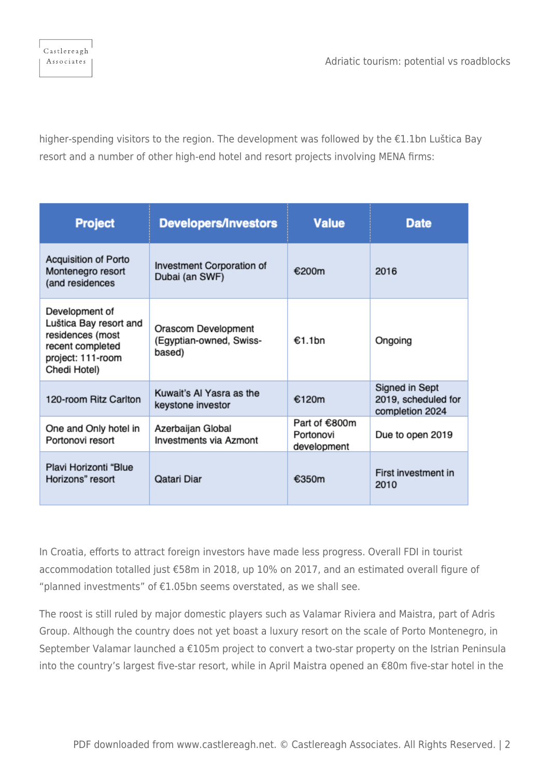Adriatic tourism: potential vs roadblocks

higher-spending visitors to the region. The development was followed by the €1.1bn Luštica Bay resort and a number of other high-end hotel and resort projects involving MENA firms:

| <b>Project</b>                                                                                                        | <b>Developers/Investors</b>                              | <b>Value</b>                              | <b>Date</b>                                              |
|-----------------------------------------------------------------------------------------------------------------------|----------------------------------------------------------|-------------------------------------------|----------------------------------------------------------|
| <b>Acquisition of Porto</b><br>Montenegro resort<br>(and residences                                                   | Investment Corporation of<br>Dubai (an SWF)              | €200m                                     | 2016                                                     |
| Development of<br>Luštica Bay resort and<br>residences (most<br>recent completed<br>project: 111-room<br>Chedi Hotel) | Orascom Development<br>(Egyptian-owned, Swiss-<br>based) | €1.1bn                                    | Ongoing                                                  |
| 120-room Ritz Carlton                                                                                                 | Kuwait's Al Yasra as the<br>keystone investor            | €120m                                     | Signed in Sept<br>2019, scheduled for<br>completion 2024 |
| One and Only hotel in<br>Portonovi resort                                                                             | Azerbaijan Global<br><b>Investments via Azmont</b>       | Part of €800m<br>Portonovi<br>development | Due to open 2019                                         |
| Plavi Horizonti "Blue<br>Horizons" resort                                                                             | Qatari Diar                                              | €350m                                     | First investment in<br>2010                              |

In Croatia, efforts to attract foreign investors have made less progress. Overall FDI in tourist accommodation totalled just €58m in 2018, up 10% on 2017, and an estimated overall figure of "planned investments" of  $E1.05$ bn seems overstated, as we shall see.

The roost is still ruled by major domestic players such as Valamar Riviera and Maistra, part of Adris Group. Although the country does not yet boast a luxury resort on the scale of Porto Montenegro, in September Valamar launched a €105m project to convert a two-star property on the Istrian Peninsula into the country's largest five-star resort, while in April Maistra opened an €80m five-star hotel in the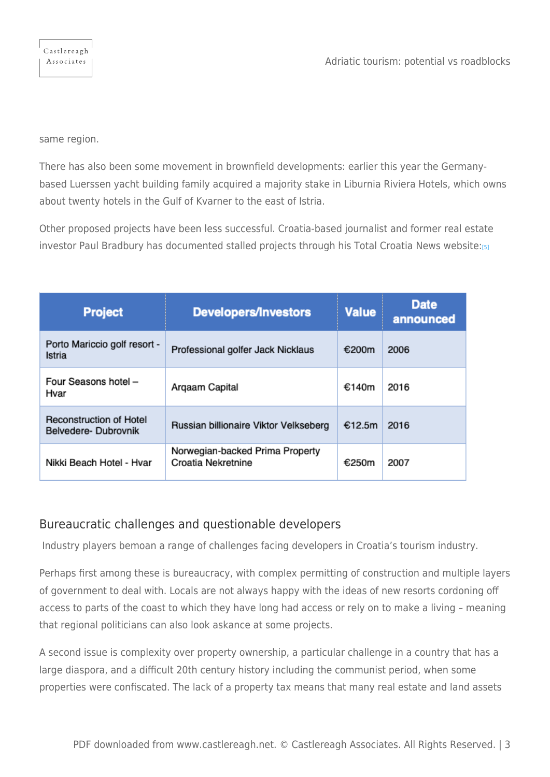Castlereagh Associates

same region.

There has also been some movement in brownfield developments: earlier this year the Germanybased Luerssen yacht building family acquired a majority stake in Liburnia Riviera Hotels, which owns about twenty hotels in the Gulf of Kvarner to the east of Istria.

<span id="page-2-0"></span>Other proposed projects have been less successful. Croatia-based journalist and former real estate investor Paul Bradbury has documented stalled projects through his Total Croatia News website:[\[5\]](#page-4-4)

| <b>Project</b>                                        | <b>Developers/Investors</b>                           | <b>Value</b> | <b>Date</b><br>announced |
|-------------------------------------------------------|-------------------------------------------------------|--------------|--------------------------|
| Porto Mariccio golf resort -<br>Istria                | Professional golfer Jack Nicklaus                     | €200m        | 2006                     |
| Four Seasons hotel -<br>Hvar                          | Argaam Capital                                        | €140m        | 2016                     |
| <b>Reconstruction of Hotel</b><br>Belvedere-Dubrovnik | Russian billionaire Viktor Velkseberg                 | €12.5m       | 2016                     |
| Nikki Beach Hotel - Hvar                              | Norwegian-backed Prima Property<br>Croatia Nekretnine | €250m        | 2007                     |

## Bureaucratic challenges and questionable developers

Industry players bemoan a range of challenges facing developers in Croatia's tourism industry.

Perhaps first among these is bureaucracy, with complex permitting of construction and multiple layers of government to deal with. Locals are not always happy with the ideas of new resorts cordoning off access to parts of the coast to which they have long had access or rely on to make a living – meaning that regional politicians can also look askance at some projects.

A second issue is complexity over property ownership, a particular challenge in a country that has a large diaspora, and a difficult 20th century history including the communist period, when some properties were confiscated. The lack of a property tax means that many real estate and land assets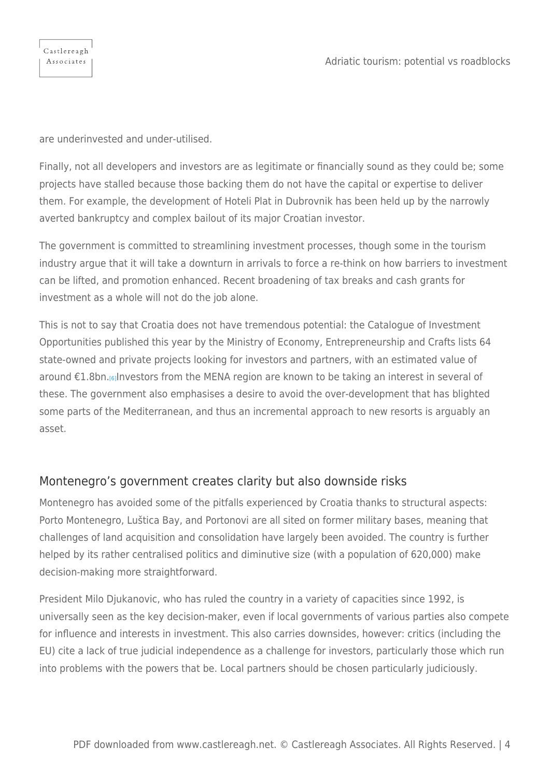are underinvested and under-utilised.

Finally, not all developers and investors are as legitimate or financially sound as they could be; some projects have stalled because those backing them do not have the capital or expertise to deliver them. For example, the development of Hoteli Plat in Dubrovnik has been held up by the narrowly averted bankruptcy and complex bailout of its major Croatian investor.

The government is committed to streamlining investment processes, though some in the tourism industry argue that it will take a downturn in arrivals to force a re-think on how barriers to investment can be lifted, and promotion enhanced. Recent broadening of tax breaks and cash grants for investment as a whole will not do the job alone.

<span id="page-3-0"></span>This is not to say that Croatia does not have tremendous potential: the Catalogue of Investment Opportunities published this year by the Ministry of Economy, Entrepreneurship and Crafts lists 64 state-owned and private projects looking for investors and partners, with an estimated value of around €1.8bn.[\[6\]](#page-4-5)Investors from the MENA region are known to be taking an interest in several of these. The government also emphasises a desire to avoid the over-development that has blighted some parts of the Mediterranean, and thus an incremental approach to new resorts is arguably an asset.

## Montenegro's government creates clarity but also downside risks

Montenegro has avoided some of the pitfalls experienced by Croatia thanks to structural aspects: Porto Montenegro, Luštica Bay, and Portonovi are all sited on former military bases, meaning that challenges of land acquisition and consolidation have largely been avoided. The country is further helped by its rather centralised politics and diminutive size (with a population of 620,000) make decision-making more straightforward.

President Milo Djukanovic, who has ruled the country in a variety of capacities since 1992, is universally seen as the key decision-maker, even if local governments of various parties also compete for influence and interests in investment. This also carries downsides, however: critics (including the EU) cite a lack of true judicial independence as a challenge for investors, particularly those which run into problems with the powers that be. Local partners should be chosen particularly judiciously.